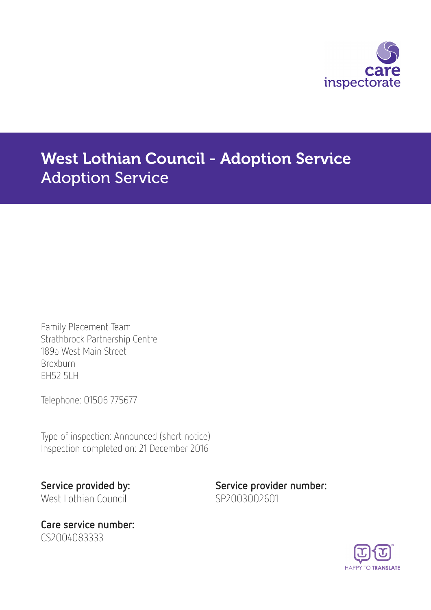

# West Lothian Council - Adoption Service Adoption Service

Family Placement Team Strathbrock Partnership Centre 189a West Main Street Broxburn EH52 5LH

Telephone: 01506 775677

Type of inspection: Announced (short notice) Inspection completed on: 21 December 2016

West Lothian Council SP2003002601

Care service number: CS2004083333

Service provided by: Service provider number:

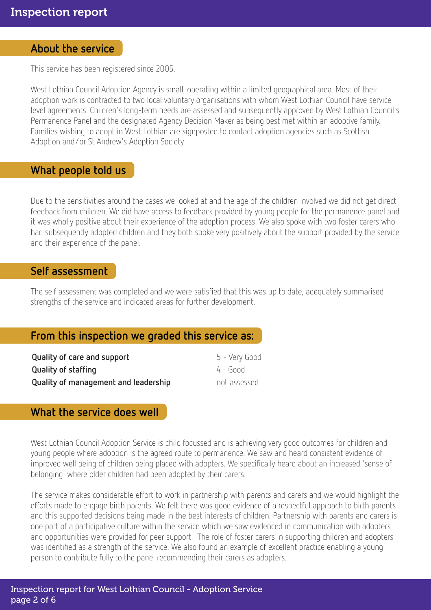#### About the service

This service has been registered since 2005.

West Lothian Council Adoption Agency is small, operating within a limited geographical area. Most of their adoption work is contracted to two local voluntary organisations with whom West Lothian Council have service level agreements. Children's long-term needs are assessed and subsequently approved by West Lothian Council's Permanence Panel and the designated Agency Decision Maker as being best met within an adoptive family. Families wishing to adopt in West Lothian are signposted to contact adoption agencies such as Scottish Adoption and/or St Andrew's Adoption Society.

#### What people told us

Due to the sensitivities around the cases we looked at and the age of the children involved we did not get direct feedback from children. We did have access to feedback provided by young people for the permanence panel and it was wholly positive about their experience of the adoption process. We also spoke with two foster carers who had subsequently adopted children and they both spoke very positively about the support provided by the service and their experience of the panel.

#### Self assessment

The self assessment was completed and we were satisfied that this was up to date, adequately summarised strengths of the service and indicated areas for further development.

## From this inspection we graded this service as:

| Quality of care and support          | 5 - Very Good |
|--------------------------------------|---------------|
| Quality of staffing                  | $4 - 600d$    |
| Quality of management and leadership | not assessed  |

## What the service does well

West Lothian Council Adoption Service is child focussed and is achieving very good outcomes for children and young people where adoption is the agreed route to permanence. We saw and heard consistent evidence of improved well being of children being placed with adopters. We specifically heard about an increased 'sense of belonging' where older children had been adopted by their carers.

The service makes considerable effort to work in partnership with parents and carers and we would highlight the efforts made to engage birth parents. We felt there was good evidence of a respectful approach to birth parents and this supported decisions being made in the best interests of children. Partnership with parents and carers is one part of a participative culture within the service which we saw evidenced in communication with adopters and opportunities were provided for peer support. The role of foster carers in supporting children and adopters was identified as a strength of the service. We also found an example of excellent practice enabling a young person to contribute fully to the panel recommending their carers as adopters.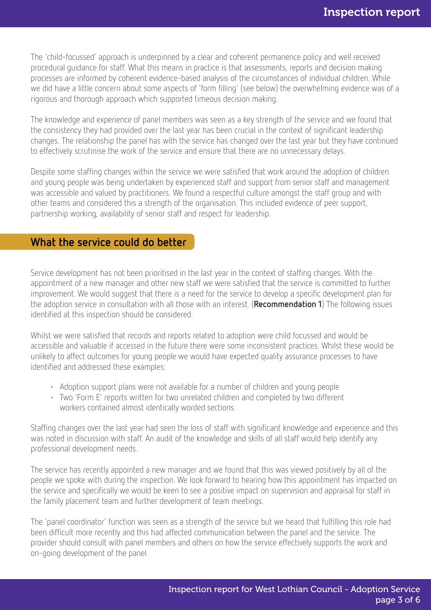The 'child-focussed' approach is underpinned by a clear and coherent permanence policy and well received procedural guidance for staff. What this means in practice is that assessments, reports and decision making processes are informed by coherent evidence-based analysis of the circumstances of individual children. While we did have a little concern about some aspects of 'form filling' (see below) the overwhelming evidence was of a rigorous and thorough approach which supported timeous decision making.

The knowledge and experience of panel members was seen as a key strength of the service and we found that the consistency they had provided over the last year has been crucial in the context of significant leadership changes. The relationship the panel has with the service has changed over the last year but they have continued to effectively scrutinise the work of the service and ensure that there are no unnecessary delays.

Despite some staffing changes within the service we were satisfied that work around the adoption of children and young people was being undertaken by experienced staff and support from senior staff and management was accessible and valued by practitioners. We found a respectful culture amongst the staff group and with other teams and considered this a strength of the organisation. This included evidence of peer support, partnership working, availability of senior staff and respect for leadership.

## What the service could do better

Service development has not been prioritised in the last year in the context of staffing changes. With the appointment of a new manager and other new staff we were satisfied that the service is committed to further improvement. We would suggest that there is a need for the service to develop a specific development plan for the adoption service in consultation with all those with an interest. (**Recommendation 1**) The following issues identified at this inspection should be considered.

Whilst we were satisfied that records and reports related to adoption were child focussed and would be accessible and valuable if accessed in the future there were some inconsistent practices. Whilst these would be unlikely to affect outcomes for young people we would have expected quality assurance processes to have identified and addressed these examples:

- Adoption support plans were not available for a number of children and young people
- Two 'Form E' reports written for two unrelated children and completed by two different workers contained almost identically worded sections.

Staffing changes over the last year had seen the loss of staff with significant knowledge and experience and this was noted in discussion with staff. An audit of the knowledge and skills of all staff would help identify any professional development needs.

The service has recently appointed a new manager and we found that this was viewed positively by all of the people we spoke with during the inspection. We look forward to hearing how this appointment has impacted on the service and specifically we would be keen to see a positive impact on supervision and appraisal for staff in the family placement team and further development of team meetings.

The 'panel coordinator' function was seen as a strength of the service but we heard that fulfilling this role had been difficult more recently and this had affected communication between the panel and the service. The provider should consult with panel members and others on how the service effectively supports the work and on-going development of the panel.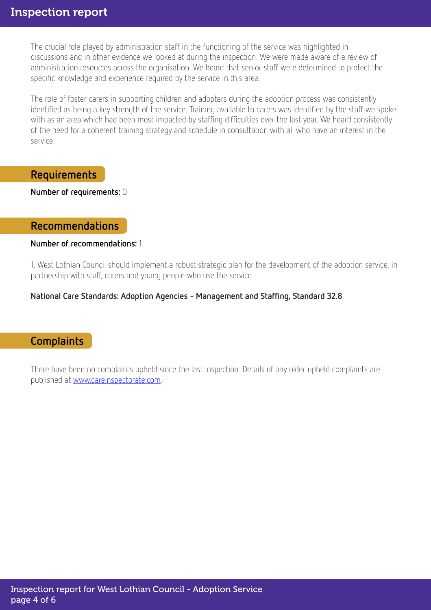The crucial role played by administration staff in the functioning of the service was highlighted in discussions and in other evidence we looked at during the inspection. We were made aware of a review of administration resources across the organisation. We heard that senior staff were determined to protect the specific knowledge and experience required by the service in this area.

The role of foster carers in supporting children and adopters during the adoption process was consistently identified as being a key strength of the service. Training available to carers was identified by the staff we spoke with as an area which had been most impacted by staffing difficulties over the last year. We heard consistently of the need for a coherent training strategy and schedule in consultation with all who have an interest in the service.

## Requirements

Number of requirements: 0

#### Recommendations

#### Number of recommendations: 1

1. West Lothian Council should implement a robust strategic plan for the development of the adoption service, in partnership with staff, carers and young people who use the service.

#### National Care Standards: Adoption Agencies - Management and Staffing, Standard 32.8

## **Complaints**

There have been no complaints upheld since the last inspection. Details of any older upheld complaints are published at [www.careinspectorate.com.](http://www.careinspectorate.com)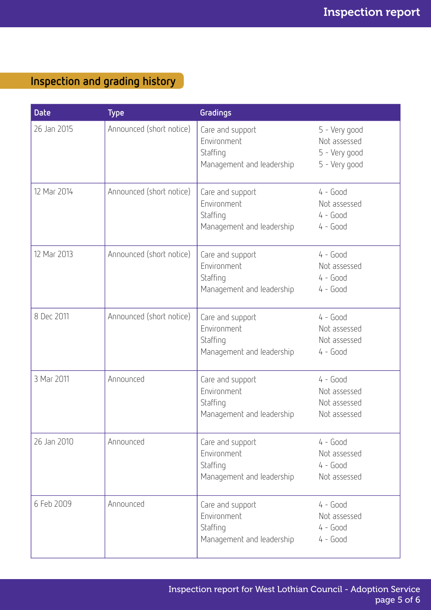## Inspection and grading history

| <b>Date</b> | <b>Type</b>              | Gradings                                                                 |                                                                 |
|-------------|--------------------------|--------------------------------------------------------------------------|-----------------------------------------------------------------|
| 26 Jan 2015 | Announced (short notice) | Care and support<br>Environment<br>Staffing<br>Management and leadership | 5 - Very good<br>Not assessed<br>5 - Very good<br>5 - Very good |
| 12 Mar 2014 | Announced (short notice) | Care and support<br>Environment<br>Staffing<br>Management and leadership | $4 - Good$<br>Not assessed<br>$4 - Good$<br>$4 - Good$          |
| 12 Mar 2013 | Announced (short notice) | Care and support<br>Environment<br>Staffing<br>Management and leadership | $4 - Good$<br>Not assessed<br>$4 - Good$<br>$4 - Good$          |
| 8 Dec 2011  | Announced (short notice) | Care and support<br>Environment<br>Staffing<br>Management and leadership | $4 - Good$<br>Not assessed<br>Not assessed<br>$4 - Good$        |
| 3 Mar 2011  | Announced                | Care and support<br>Environment<br>Staffing<br>Management and leadership | $4 - Good$<br>Not assessed<br>Not assessed<br>Not assessed      |
| 26 Jan 2010 | Announced                | Care and support<br>Environment<br>Staffing<br>Management and leadership | $4 - Good$<br>Not assessed<br>$4 - Good$<br>Not assessed        |
| 6 Feb 2009  | Announced                | Care and support<br>Environment<br>Staffing<br>Management and leadership | $4 - Good$<br>Not assessed<br>$4 - Good$<br>$4 - Good$          |